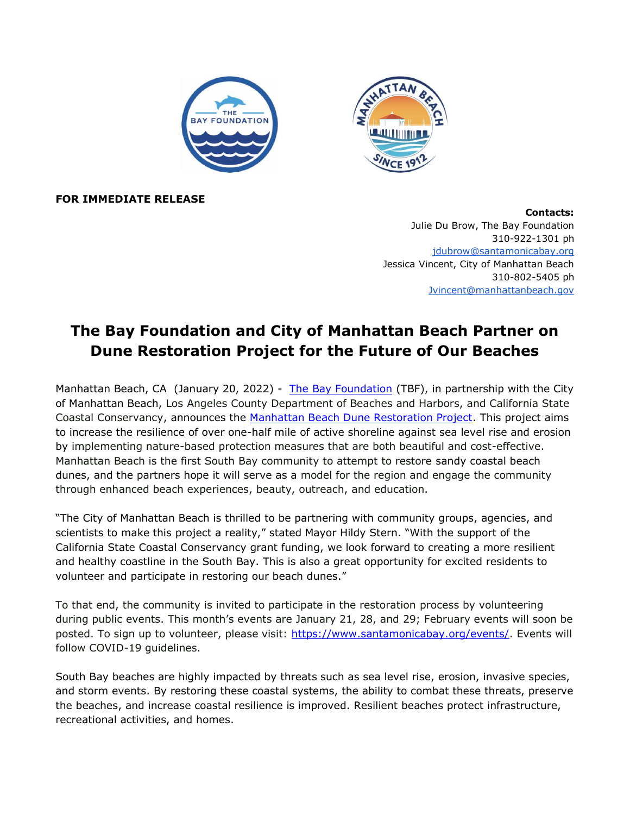

**FOR IMMEDIATE RELEASE**

**Contacts:** Julie Du Brow, The Bay Foundation 310-922-1301 ph [jdubrow@santamonicabay.org](mailto:jdubrow@santamonicabay.org) Jessica Vincent, City of Manhattan Beach 310-802-5405 ph [Jvincent@manhattanbeach.gov](mailto:Jvincent@manhattanbeach.gov)

## **The Bay Foundation and City of Manhattan Beach Partner on Dune Restoration Project for the Future of Our Beaches**

Manhattan Beach, CA (January 20, 2022) - [The Bay Foundation](http://www.santamonicabay.org/) (TBF), in partnership with the City of Manhattan Beach, Los Angeles County Department of Beaches and Harbors, and California State Coastal Conservancy, announces th[e](https://www.santamonicabay.org/what-we-do/projects/manhattan-beach-dune-restoration-project/) [Manhattan Beach Dune Restoration Project.](https://www.santamonicabay.org/what-we-do/projects/manhattan-beach-dune-restoration-project/) This project aims to increase the resilience of over one-half mile of active shoreline against sea level rise and erosion by implementing nature-based protection measures that are both beautiful and cost-effective. Manhattan Beach is the first South Bay community to attempt to restore sandy coastal beach dunes, and the partners hope it will serve as a model for the region and engage the community through enhanced beach experiences, beauty, outreach, and education.

"The City of Manhattan Beach is thrilled to be partnering with community groups, agencies, and scientists to make this project a reality," stated Mayor Hildy Stern. "With the support of the California State Coastal Conservancy grant funding, we look forward to creating a more resilient and healthy coastline in the South Bay. This is also a great opportunity for excited residents to volunteer and participate in restoring our beach dunes."

To that end, the community is invited to participate in the restoration process by volunteering during public events. This month's events are January 21, 28, and 29; February events will soon be posted. To sign up to volunteer, please visit[:](https://www.santamonicabay.org/events/) [https://www.santamonicabay.org/events/.](https://www.santamonicabay.org/events/) Events will follow COVID-19 guidelines.

South Bay beaches are highly impacted by threats such as sea level rise, erosion, invasive species, and storm events. By restoring these coastal systems, the ability to combat these threats, preserve the beaches, and increase coastal resilience is improved. Resilient beaches protect infrastructure, recreational activities, and homes.